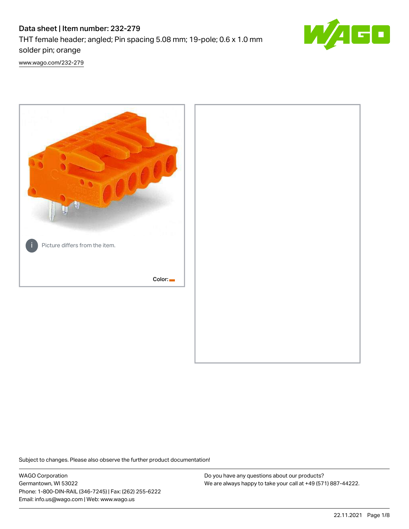# Data sheet | Item number: 232-279

THT female header; angled; Pin spacing 5.08 mm; 19-pole; 0.6 x 1.0 mm solder pin; orange



[www.wago.com/232-279](http://www.wago.com/232-279)



Subject to changes. Please also observe the further product documentation!

WAGO Corporation Germantown, WI 53022 Phone: 1-800-DIN-RAIL (346-7245) | Fax: (262) 255-6222 Email: info.us@wago.com | Web: www.wago.us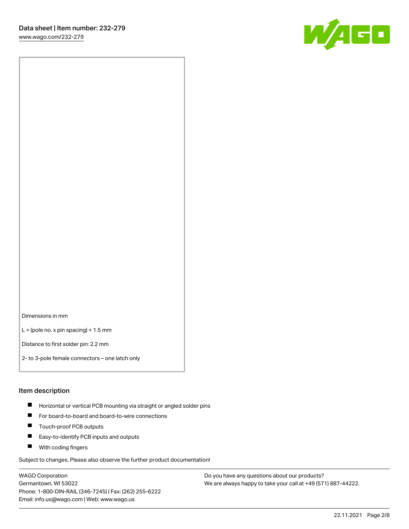[www.wago.com/232-279](http://www.wago.com/232-279)



Dimensions in mm

 $L =$  (pole no. x pin spacing) + 1.5 mm

Distance to first solder pin: 2.2 mm

2- to 3-pole female connectors – one latch only

#### Item description

- **Horizontal or vertical PCB mounting via straight or angled solder pins**
- For board-to-board and board-to-wire connections
- $\blacksquare$ Touch-proof PCB outputs
- $\blacksquare$ Easy-to-identify PCB inputs and outputs
- **Now With coding fingers**

Subject to changes. Please also observe the further product documentation!

WAGO Corporation Germantown, WI 53022 Phone: 1-800-DIN-RAIL (346-7245) | Fax: (262) 255-6222 Email: info.us@wago.com | Web: www.wago.us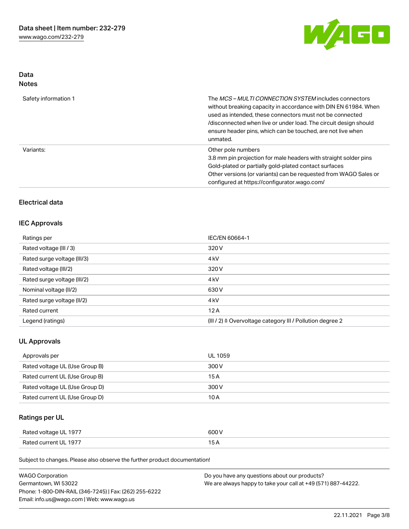

## Data Notes

| Safety information 1 | The <i>MCS – MULTI CONNECTION SYSTEM</i> includes connectors<br>without breaking capacity in accordance with DIN EN 61984. When<br>used as intended, these connectors must not be connected<br>/disconnected when live or under load. The circuit design should<br>ensure header pins, which can be touched, are not live when<br>unmated. |
|----------------------|--------------------------------------------------------------------------------------------------------------------------------------------------------------------------------------------------------------------------------------------------------------------------------------------------------------------------------------------|
| Variants:            | Other pole numbers<br>3.8 mm pin projection for male headers with straight solder pins<br>Gold-plated or partially gold-plated contact surfaces<br>Other versions (or variants) can be requested from WAGO Sales or<br>configured at https://configurator.wago.com/                                                                        |

## Electrical data

## IEC Approvals

| Ratings per                 | IEC/EN 60664-1                                                       |
|-----------------------------|----------------------------------------------------------------------|
| Rated voltage (III / 3)     | 320 V                                                                |
| Rated surge voltage (III/3) | 4 <sub>k</sub> V                                                     |
| Rated voltage (III/2)       | 320 V                                                                |
| Rated surge voltage (III/2) | 4 <sub>k</sub> V                                                     |
| Nominal voltage (II/2)      | 630 V                                                                |
| Rated surge voltage (II/2)  | 4 <sub>k</sub> V                                                     |
| Rated current               | 12A                                                                  |
| Legend (ratings)            | (III / 2) $\triangleq$ Overvoltage category III / Pollution degree 2 |

## UL Approvals

| Approvals per                  | UL 1059 |
|--------------------------------|---------|
| Rated voltage UL (Use Group B) | 300 V   |
| Rated current UL (Use Group B) | 15 A    |
| Rated voltage UL (Use Group D) | 300 V   |
| Rated current UL (Use Group D) | 10 A    |

# Ratings per UL

| Rated voltage UL 1977 | 600 V |
|-----------------------|-------|
| Rated current UL 1977 |       |

Subject to changes. Please also observe the further product documentation!

| <b>WAGO Corporation</b>                                | Do you have any questions about our products?                 |
|--------------------------------------------------------|---------------------------------------------------------------|
| Germantown, WI 53022                                   | We are always happy to take your call at +49 (571) 887-44222. |
| Phone: 1-800-DIN-RAIL (346-7245)   Fax: (262) 255-6222 |                                                               |
| Email: info.us@wago.com   Web: www.wago.us             |                                                               |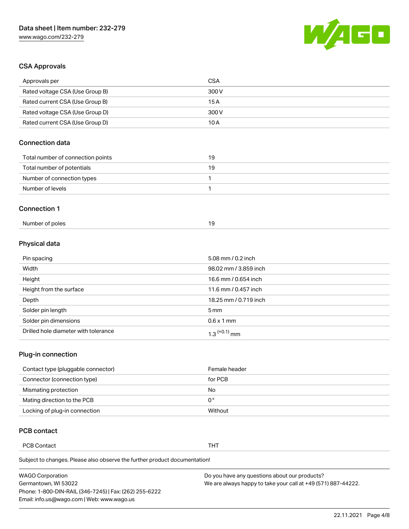

## CSA Approvals

| Approvals per                     | <b>CSA</b> |
|-----------------------------------|------------|
| Rated voltage CSA (Use Group B)   | 300 V      |
| Rated current CSA (Use Group B)   | 15A        |
| Rated voltage CSA (Use Group D)   | 300 V      |
| Rated current CSA (Use Group D)   | 10A        |
| <b>Connection data</b>            |            |
|                                   |            |
| Total number of connection points | 19         |
| Total number of potentials        | 19         |
| Number of connection types        | 1          |
| Number of levels                  | и          |
| <b>Connection 1</b>               |            |

#### Physical data

| Pin spacing                          | 5.08 mm / 0.2 inch    |
|--------------------------------------|-----------------------|
| Width                                | 98.02 mm / 3.859 inch |
| Height                               | 16.6 mm / 0.654 inch  |
| Height from the surface              | 11.6 mm / 0.457 inch  |
| Depth                                | 18.25 mm / 0.719 inch |
| Solder pin length                    | $5 \,\mathrm{mm}$     |
| Solder pin dimensions                | $0.6 \times 1$ mm     |
| Drilled hole diameter with tolerance | $1.3$ $(+0.1)$ mm     |

# Plug-in connection

| Contact type (pluggable connector) | Female header |
|------------------------------------|---------------|
| Connector (connection type)        | for PCB       |
| Mismating protection               | No            |
| Mating direction to the PCB        | 0°            |
| Locking of plug-in connection      | Without       |

## PCB contact

PCB Contact **THT** 

Subject to changes. Please also observe the further product documentation!

| <b>WAGO Corporation</b>                                | Do you have any questions about our products?                 |
|--------------------------------------------------------|---------------------------------------------------------------|
| Germantown, WI 53022                                   | We are always happy to take your call at +49 (571) 887-44222. |
| Phone: 1-800-DIN-RAIL (346-7245)   Fax: (262) 255-6222 |                                                               |
| Email: info.us@wago.com   Web: www.wago.us             |                                                               |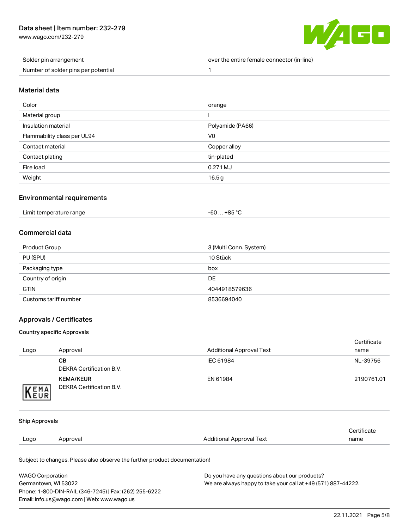[www.wago.com/232-279](http://www.wago.com/232-279)



| Solder pin arrangement              | over the entire female connector (in-line) |
|-------------------------------------|--------------------------------------------|
| Number of solder pins per potential |                                            |

#### Material data

| Color                       | orange           |
|-----------------------------|------------------|
| Material group              |                  |
| Insulation material         | Polyamide (PA66) |
| Flammability class per UL94 | V <sub>0</sub>   |
| Contact material            | Copper alloy     |
| Contact plating             | tin-plated       |
| Fire load                   | $0.271$ MJ       |
| Weight                      | 16.5g            |

## Environmental requirements

| Limit temperature range | $-60+85 °C$ |
|-------------------------|-------------|
|                         |             |

## Commercial data

| Product Group         | 3 (Multi Conn. System) |
|-----------------------|------------------------|
| PU (SPU)              | 10 Stück               |
| Packaging type        | box                    |
| Country of origin     | DE                     |
| <b>GTIN</b>           | 4044918579636          |
| Customs tariff number | 8536694040             |

## Approvals / Certificates

#### Country specific Approvals

|                       | <b>WAGO Corporation</b><br>Do you have any questions about our products?   |                                 |                     |
|-----------------------|----------------------------------------------------------------------------|---------------------------------|---------------------|
|                       | Subject to changes. Please also observe the further product documentation! |                                 |                     |
| Logo                  | Approval                                                                   | <b>Additional Approval Text</b> | Certificate<br>name |
| <b>Ship Approvals</b> |                                                                            |                                 |                     |
| KEMA                  |                                                                            |                                 |                     |
|                       | <b>KEMA/KEUR</b><br><b>DEKRA Certification B.V.</b>                        | EN 61984                        | 2190761.01          |
|                       | <b>DEKRA Certification B.V.</b>                                            |                                 |                     |
|                       | <b>CB</b>                                                                  | IEC 61984                       | NL-39756            |
| Logo                  | Approval                                                                   | <b>Additional Approval Text</b> | Certificate<br>name |

Germantown, WI 53022 Phone: 1-800-DIN-RAIL (346-7245) | Fax: (262) 255-6222 Email: info.us@wago.com | Web: www.wago.us

We are always happy to take your call at +49 (571) 887-44222.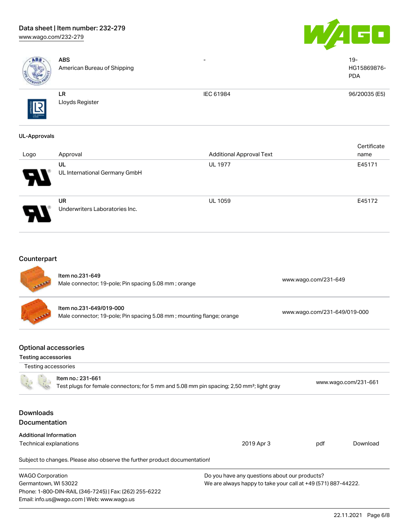# Data sheet | Item number: 232-279

[www.wago.com/232-279](http://www.wago.com/232-279)





| ABS                                                                              | <b>ABS</b><br>American Bureau of Shipping                                                                                  |                                                                                                                |                              | $19 -$<br>HG15869876-<br><b>PDA</b> |
|----------------------------------------------------------------------------------|----------------------------------------------------------------------------------------------------------------------------|----------------------------------------------------------------------------------------------------------------|------------------------------|-------------------------------------|
|                                                                                  | <b>LR</b><br>Lloyds Register                                                                                               | IEC 61984                                                                                                      |                              | 96/20035 (E5)                       |
| <b>UL-Approvals</b>                                                              |                                                                                                                            |                                                                                                                |                              |                                     |
| Logo                                                                             | Approval                                                                                                                   | <b>Additional Approval Text</b>                                                                                |                              | Certificate<br>name                 |
|                                                                                  | UL<br>UL International Germany GmbH                                                                                        | <b>UL 1977</b>                                                                                                 |                              | E45171                              |
|                                                                                  | <b>UR</b><br>Underwriters Laboratories Inc.                                                                                | UL 1059                                                                                                        |                              | E45172                              |
| Counterpart                                                                      | Item no.231-649<br>Male connector; 19-pole; Pin spacing 5.08 mm; orange                                                    |                                                                                                                | www.wago.com/231-649         |                                     |
|                                                                                  | Item no.231-649/019-000<br>Male connector; 19-pole; Pin spacing 5.08 mm; mounting flange; orange                           |                                                                                                                | www.wago.com/231-649/019-000 |                                     |
| <b>Optional accessories</b><br><b>Testing accessories</b><br>Testing accessories |                                                                                                                            |                                                                                                                |                              |                                     |
|                                                                                  | Item no.: 231-661<br>Test plugs for female connectors; for 5 mm and 5.08 mm pin spacing; 2,50 mm <sup>2</sup> ; light gray |                                                                                                                |                              | www.wago.com/231-661                |
| <b>Downloads</b><br>Documentation                                                |                                                                                                                            |                                                                                                                |                              |                                     |
| <b>Additional Information</b>                                                    |                                                                                                                            |                                                                                                                |                              |                                     |
| <b>Technical explanations</b>                                                    |                                                                                                                            | 2019 Apr 3                                                                                                     | pdf                          | Download                            |
|                                                                                  | Subject to changes. Please also observe the further product documentation!                                                 |                                                                                                                |                              |                                     |
| <b>WAGO Corporation</b><br>Germantown, WI 53022                                  | Phone: 1-800-DIN-RAIL (346-7245)   Fax: (262) 255-6222<br>Email: info.us@wago.com   Web: www.wago.us                       | Do you have any questions about our products?<br>We are always happy to take your call at +49 (571) 887-44222. |                              |                                     |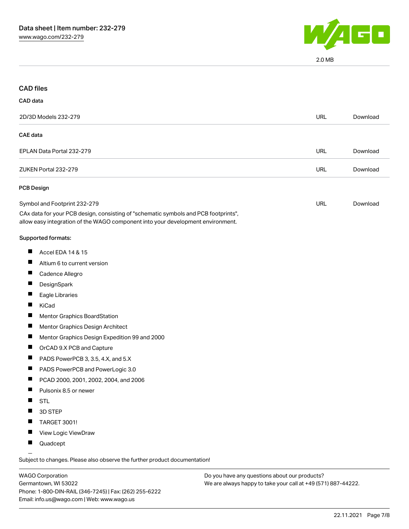

2.0 MB

| <b>CAD files</b>                                                                                                                                                       |            |          |
|------------------------------------------------------------------------------------------------------------------------------------------------------------------------|------------|----------|
| CAD data                                                                                                                                                               |            |          |
| 2D/3D Models 232-279                                                                                                                                                   | <b>URL</b> | Download |
| <b>CAE</b> data                                                                                                                                                        |            |          |
| EPLAN Data Portal 232-279                                                                                                                                              | <b>URL</b> | Download |
| ZUKEN Portal 232-279                                                                                                                                                   | <b>URL</b> | Download |
| <b>PCB Design</b>                                                                                                                                                      |            |          |
| Symbol and Footprint 232-279                                                                                                                                           | <b>URL</b> | Download |
| CAx data for your PCB design, consisting of "schematic symbols and PCB footprints",<br>allow easy integration of the WAGO component into your development environment. |            |          |
| Supported formats:                                                                                                                                                     |            |          |
| $\blacksquare$<br>Accel EDA 14 & 15                                                                                                                                    |            |          |
| Altium 6 to current version                                                                                                                                            |            |          |
| H<br>Cadence Allegro                                                                                                                                                   |            |          |
| DesignSpark                                                                                                                                                            |            |          |
| Eagle Libraries                                                                                                                                                        |            |          |
| H<br>KiCad                                                                                                                                                             |            |          |
| <b>Mentor Graphics BoardStation</b>                                                                                                                                    |            |          |
| Mentor Graphics Design Architect                                                                                                                                       |            |          |
| $\blacksquare$<br>Mentor Graphics Design Expedition 99 and 2000                                                                                                        |            |          |
| OrCAD 9.X PCB and Capture                                                                                                                                              |            |          |
| PADS PowerPCB 3, 3.5, 4.X, and 5.X                                                                                                                                     |            |          |
| PADS PowerPCB and PowerLogic 3.0<br>ш                                                                                                                                  |            |          |
| ш<br>PCAD 2000, 2001, 2002, 2004, and 2006                                                                                                                             |            |          |
| Pulsonix 8.5 or newer                                                                                                                                                  |            |          |
| <b>STL</b><br>ш                                                                                                                                                        |            |          |
| 3D STEP                                                                                                                                                                |            |          |
| TARGET 3001!                                                                                                                                                           |            |          |
| View Logic ViewDraw<br>ш                                                                                                                                               |            |          |
| Quadcept<br>ш                                                                                                                                                          |            |          |
| Subject to changes. Please also observe the further product documentation!                                                                                             |            |          |

WAGO Corporation Germantown, WI 53022 Phone: 1-800-DIN-RAIL (346-7245) | Fax: (262) 255-6222 Email: info.us@wago.com | Web: www.wago.us